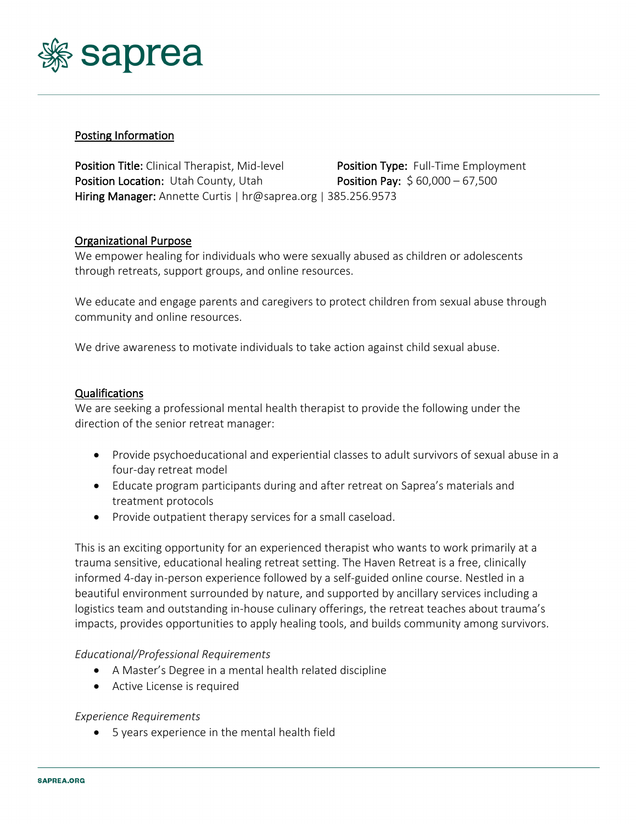

# Posting Information

Position Title: Clinical Therapist, Mid-level Position Type: Full-Time Employment **Position Location:** Utah County, Utah **Position Pay:** \$ 60,000 – 67,500 Hiring Manager: Annette Curtis | hr@saprea.org | 385.256.9573

## Organizational Purpose

We empower healing for individuals who were sexually abused as children or adolescents through retreats, support groups, and online resources.

We educate and engage parents and caregivers to protect children from sexual abuse through community and online resources.

We drive awareness to motivate individuals to take action against child sexual abuse.

### Qualifications

We are seeking a professional mental health therapist to provide the following under the direction of the senior retreat manager:

- Provide psychoeducational and experiential classes to adult survivors of sexual abuse in a four-day retreat model
- Educate program participants during and after retreat on Saprea's materials and treatment protocols
- Provide outpatient therapy services for a small caseload.

This is an exciting opportunity for an experienced therapist who wants to work primarily at a trauma sensitive, educational healing retreat setting. The Haven Retreat is a free, clinically informed 4-day in-person experience followed by a self-guided online course. Nestled in a beautiful environment surrounded by nature, and supported by ancillary services including a logistics team and outstanding in-house culinary offerings, the retreat teaches about trauma's impacts, provides opportunities to apply healing tools, and builds community among survivors.

### *Educational/Professional Requirements*

- A Master's Degree in a mental health related discipline
- Active License is required

### *Experience Requirements*

• 5 years experience in the mental health field